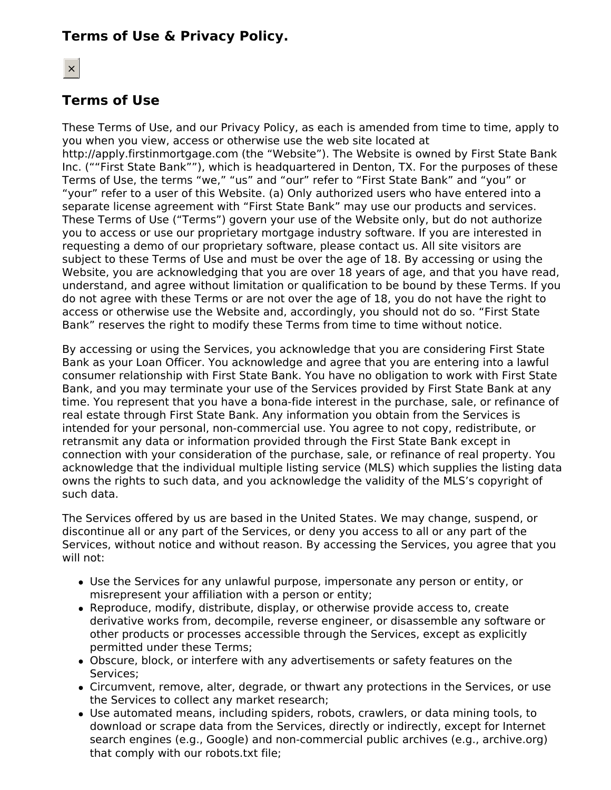# **Terms of Use & Privacy Policy.**

# **Terms of Use**

These Terms of Use, and our Privacy Policy, as each is amended from time to time, apply to you when you view, access or otherwise use the web site located at http://apply.firstinmortgage.com (the "Website"). The Website is owned by First State Bank Inc. (""First State Bank""), which is headquartered in Denton, TX. For the purposes of these Terms of Use, the terms "we," "us" and "our" refer to "First State Bank" and "you" or "your" refer to a user of this Website. (a) Only authorized users who have entered into a separate license agreement with "First State Bank" may use our products and services. These Terms of Use ("Terms") govern your use of the Website only, but do not authorize you to access or use our proprietary mortgage industry software. If you are interested in requesting a demo of our proprietary software, please contact us. All site visitors are subject to these Terms of Use and must be over the age of 18. By accessing or using the Website, you are acknowledging that you are over 18 years of age, and that you have read, understand, and agree without limitation or qualification to be bound by these Terms. If you do not agree with these Terms or are not over the age of 18, you do not have the right to access or otherwise use the Website and, accordingly, you should not do so. "First State Bank" reserves the right to modify these Terms from time to time without notice.

By accessing or using the Services, you acknowledge that you are considering First State Bank as your Loan Officer. You acknowledge and agree that you are entering into a lawful consumer relationship with First State Bank. You have no obligation to work with First State Bank, and you may terminate your use of the Services provided by First State Bank at any time. You represent that you have a bona-fide interest in the purchase, sale, or refinance of real estate through First State Bank. Any information you obtain from the Services is intended for your personal, non-commercial use. You agree to not copy, redistribute, or retransmit any data or information provided through the First State Bank except in connection with your consideration of the purchase, sale, or refinance of real property. You acknowledge that the individual multiple listing service (MLS) which supplies the listing data owns the rights to such data, and you acknowledge the validity of the MLS's copyright of such data.

The Services offered by us are based in the United States. We may change, suspend, or discontinue all or any part of the Services, or deny you access to all or any part of the Services, without notice and without reason. By accessing the Services, you agree that you will not:

- Use the Services for any unlawful purpose, impersonate any person or entity, or misrepresent your affiliation with a person or entity;
- Reproduce, modify, distribute, display, or otherwise provide access to, create derivative works from, decompile, reverse engineer, or disassemble any software or other products or processes accessible through the Services, except as explicitly permitted under these Terms;
- Obscure, block, or interfere with any advertisements or safety features on the Services;
- Circumvent, remove, alter, degrade, or thwart any protections in the Services, or use the Services to collect any market research;
- Use automated means, including spiders, robots, crawlers, or data mining tools, to download or scrape data from the Services, directly or indirectly, except for Internet search engines (e.g., Google) and non-commercial public archives (e.g., archive.org) that comply with our robots.txt file;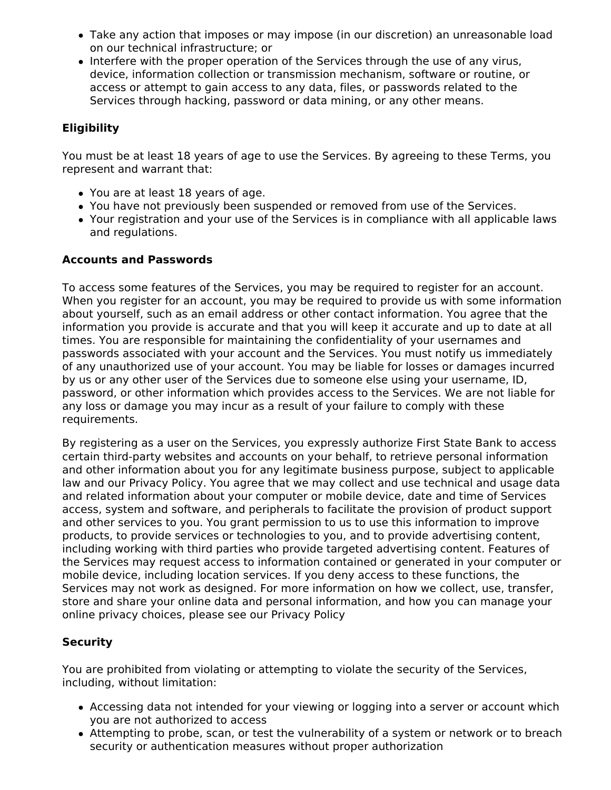- Take any action that imposes or may impose (in our discretion) an unreasonable load on our technical infrastructure; or
- Interfere with the proper operation of the Services through the use of any virus, device, information collection or transmission mechanism, software or routine, or access or attempt to gain access to any data, files, or passwords related to the Services through hacking, password or data mining, or any other means.

## **Eligibility**

You must be at least 18 years of age to use the Services. By agreeing to these Terms, you represent and warrant that:

- You are at least 18 years of age.
- You have not previously been suspended or removed from use of the Services.
- Your registration and your use of the Services is in compliance with all applicable laws and regulations.

### **Accounts and Passwords**

To access some features of the Services, you may be required to register for an account. When you register for an account, you may be required to provide us with some information about yourself, such as an email address or other contact information. You agree that the information you provide is accurate and that you will keep it accurate and up to date at all times. You are responsible for maintaining the confidentiality of your usernames and passwords associated with your account and the Services. You must notify us immediately of any unauthorized use of your account. You may be liable for losses or damages incurred by us or any other user of the Services due to someone else using your username, ID, password, or other information which provides access to the Services. We are not liable for any loss or damage you may incur as a result of your failure to comply with these requirements.

By registering as a user on the Services, you expressly authorize First State Bank to access certain third-party websites and accounts on your behalf, to retrieve personal information and other information about you for any legitimate business purpose, subject to applicable law and our Privacy Policy. You agree that we may collect and use technical and usage data and related information about your computer or mobile device, date and time of Services access, system and software, and peripherals to facilitate the provision of product support and other services to you. You grant permission to us to use this information to improve products, to provide services or technologies to you, and to provide advertising content, including working with third parties who provide targeted advertising content. Features of the Services may request access to information contained or generated in your computer or mobile device, including location services. If you deny access to these functions, the Services may not work as designed. For more information on how we collect, use, transfer, store and share your online data and personal information, and how you can manage your online privacy choices, please see our Privacy Policy

## **Security**

You are prohibited from violating or attempting to violate the security of the Services, including, without limitation:

- Accessing data not intended for your viewing or logging into a server or account which you are not authorized to access
- Attempting to probe, scan, or test the vulnerability of a system or network or to breach security or authentication measures without proper authorization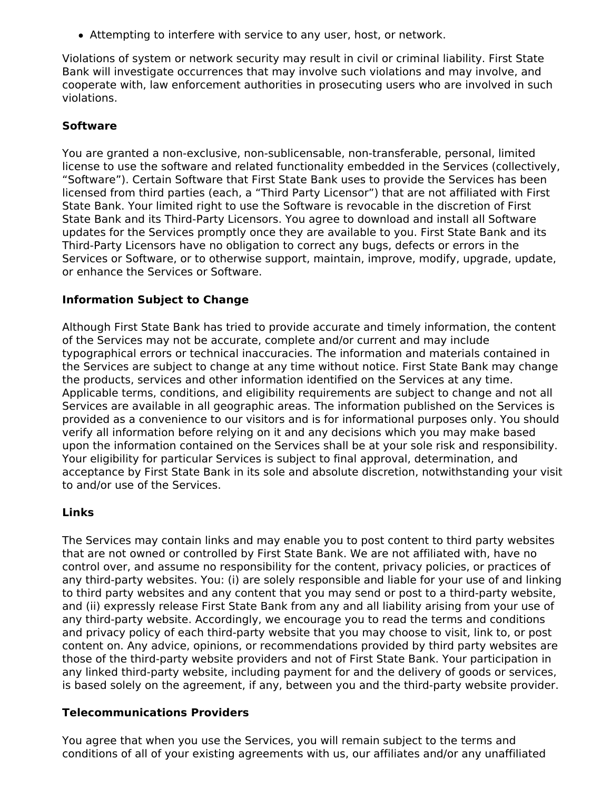Attempting to interfere with service to any user, host, or network.

Violations of system or network security may result in civil or criminal liability. First State Bank will investigate occurrences that may involve such violations and may involve, and cooperate with, law enforcement authorities in prosecuting users who are involved in such violations.

## **Software**

You are granted a non-exclusive, non-sublicensable, non-transferable, personal, limited license to use the software and related functionality embedded in the Services (collectively, "Software"). Certain Software that First State Bank uses to provide the Services has been licensed from third parties (each, a "Third Party Licensor") that are not affiliated with First State Bank. Your limited right to use the Software is revocable in the discretion of First State Bank and its Third-Party Licensors. You agree to download and install all Software updates for the Services promptly once they are available to you. First State Bank and its Third-Party Licensors have no obligation to correct any bugs, defects or errors in the Services or Software, or to otherwise support, maintain, improve, modify, upgrade, update, or enhance the Services or Software.

### **Information Subject to Change**

Although First State Bank has tried to provide accurate and timely information, the content of the Services may not be accurate, complete and/or current and may include typographical errors or technical inaccuracies. The information and materials contained in the Services are subject to change at any time without notice. First State Bank may change the products, services and other information identified on the Services at any time. Applicable terms, conditions, and eligibility requirements are subject to change and not all Services are available in all geographic areas. The information published on the Services is provided as a convenience to our visitors and is for informational purposes only. You should verify all information before relying on it and any decisions which you may make based upon the information contained on the Services shall be at your sole risk and responsibility. Your eligibility for particular Services is subject to final approval, determination, and acceptance by First State Bank in its sole and absolute discretion, notwithstanding your visit to and/or use of the Services.

### **Links**

The Services may contain links and may enable you to post content to third party websites that are not owned or controlled by First State Bank. We are not affiliated with, have no control over, and assume no responsibility for the content, privacy policies, or practices of any third-party websites. You: (i) are solely responsible and liable for your use of and linking to third party websites and any content that you may send or post to a third-party website, and (ii) expressly release First State Bank from any and all liability arising from your use of any third-party website. Accordingly, we encourage you to read the terms and conditions and privacy policy of each third-party website that you may choose to visit, link to, or post content on. Any advice, opinions, or recommendations provided by third party websites are those of the third-party website providers and not of First State Bank. Your participation in any linked third-party website, including payment for and the delivery of goods or services, is based solely on the agreement, if any, between you and the third-party website provider.

### **Telecommunications Providers**

You agree that when you use the Services, you will remain subject to the terms and conditions of all of your existing agreements with us, our affiliates and/or any unaffiliated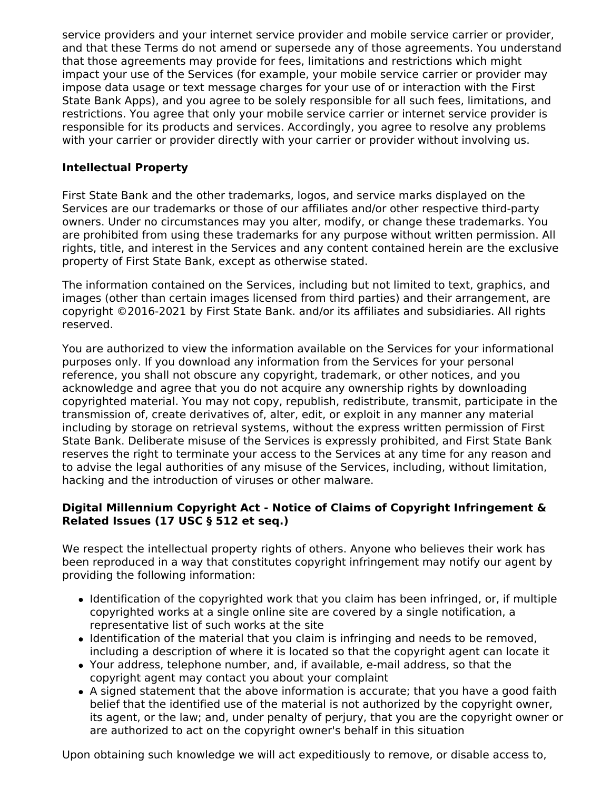service providers and your internet service provider and mobile service carrier or provider, and that these Terms do not amend or supersede any of those agreements. You understand that those agreements may provide for fees, limitations and restrictions which might impact your use of the Services (for example, your mobile service carrier or provider may impose data usage or text message charges for your use of or interaction with the First State Bank Apps), and you agree to be solely responsible for all such fees, limitations, and restrictions. You agree that only your mobile service carrier or internet service provider is responsible for its products and services. Accordingly, you agree to resolve any problems with your carrier or provider directly with your carrier or provider without involving us.

## **Intellectual Property**

First State Bank and the other trademarks, logos, and service marks displayed on the Services are our trademarks or those of our affiliates and/or other respective third-party owners. Under no circumstances may you alter, modify, or change these trademarks. You are prohibited from using these trademarks for any purpose without written permission. All rights, title, and interest in the Services and any content contained herein are the exclusive property of First State Bank, except as otherwise stated.

The information contained on the Services, including but not limited to text, graphics, and images (other than certain images licensed from third parties) and their arrangement, are copyright ©2016-2021 by First State Bank. and/or its affiliates and subsidiaries. All rights reserved.

You are authorized to view the information available on the Services for your informational purposes only. If you download any information from the Services for your personal reference, you shall not obscure any copyright, trademark, or other notices, and you acknowledge and agree that you do not acquire any ownership rights by downloading copyrighted material. You may not copy, republish, redistribute, transmit, participate in the transmission of, create derivatives of, alter, edit, or exploit in any manner any material including by storage on retrieval systems, without the express written permission of First State Bank. Deliberate misuse of the Services is expressly prohibited, and First State Bank reserves the right to terminate your access to the Services at any time for any reason and to advise the legal authorities of any misuse of the Services, including, without limitation, hacking and the introduction of viruses or other malware.

## **Digital Millennium Copyright Act - Notice of Claims of Copyright Infringement & Related Issues (17 USC § 512 et seq.)**

We respect the intellectual property rights of others. Anyone who believes their work has been reproduced in a way that constitutes copyright infringement may notify our agent by providing the following information:

- Identification of the copyrighted work that you claim has been infringed, or, if multiple copyrighted works at a single online site are covered by a single notification, a representative list of such works at the site
- Identification of the material that you claim is infringing and needs to be removed, including a description of where it is located so that the copyright agent can locate it
- Your address, telephone number, and, if available, e-mail address, so that the copyright agent may contact you about your complaint
- A signed statement that the above information is accurate; that you have a good faith belief that the identified use of the material is not authorized by the copyright owner, its agent, or the law; and, under penalty of perjury, that you are the copyright owner or are authorized to act on the copyright owner's behalf in this situation

Upon obtaining such knowledge we will act expeditiously to remove, or disable access to,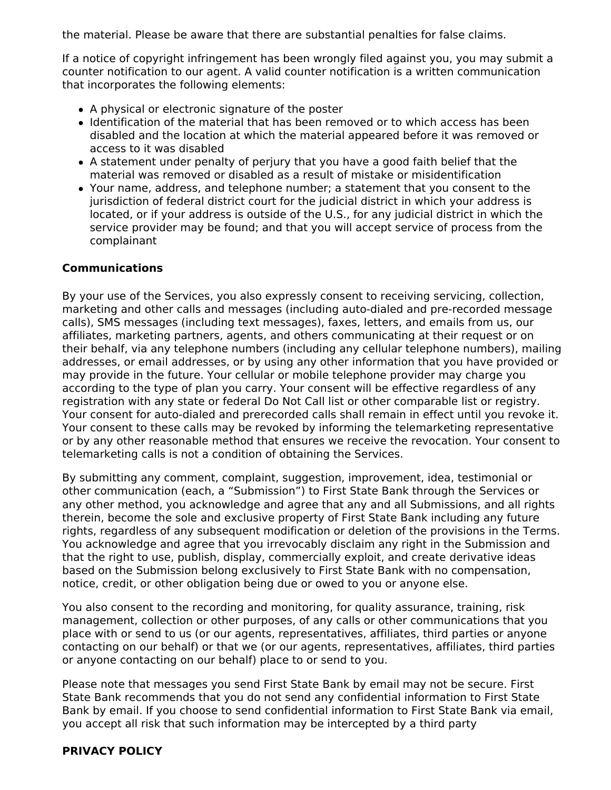the material. Please be aware that there are substantial penalties for false claims.

If a notice of copyright infringement has been wrongly filed against you, you may submit a counter notification to our agent. A valid counter notification is a written communication that incorporates the following elements:

- A physical or electronic signature of the poster
- Identification of the material that has been removed or to which access has been disabled and the location at which the material appeared before it was removed or access to it was disabled
- A statement under penalty of perjury that you have a good faith belief that the material was removed or disabled as a result of mistake or misidentification
- Your name, address, and telephone number; a statement that you consent to the jurisdiction of federal district court for the judicial district in which your address is located, or if your address is outside of the U.S., for any judicial district in which the service provider may be found; and that you will accept service of process from the complainant

### **Communications**

By your use of the Services, you also expressly consent to receiving servicing, collection, marketing and other calls and messages (including auto-dialed and pre-recorded message calls), SMS messages (including text messages), faxes, letters, and emails from us, our affiliates, marketing partners, agents, and others communicating at their request or on their behalf, via any telephone numbers (including any cellular telephone numbers), mailing addresses, or email addresses, or by using any other information that you have provided or may provide in the future. Your cellular or mobile telephone provider may charge you according to the type of plan you carry. Your consent will be effective regardless of any registration with any state or federal Do Not Call list or other comparable list or registry. Your consent for auto-dialed and prerecorded calls shall remain in effect until you revoke it. Your consent to these calls may be revoked by informing the telemarketing representative or by any other reasonable method that ensures we receive the revocation. Your consent to telemarketing calls is not a condition of obtaining the Services.

By submitting any comment, complaint, suggestion, improvement, idea, testimonial or other communication (each, a "Submission") to First State Bank through the Services or any other method, you acknowledge and agree that any and all Submissions, and all rights therein, become the sole and exclusive property of First State Bank including any future rights, regardless of any subsequent modification or deletion of the provisions in the Terms. You acknowledge and agree that you irrevocably disclaim any right in the Submission and that the right to use, publish, display, commercially exploit, and create derivative ideas based on the Submission belong exclusively to First State Bank with no compensation, notice, credit, or other obligation being due or owed to you or anyone else.

You also consent to the recording and monitoring, for quality assurance, training, risk management, collection or other purposes, of any calls or other communications that you place with or send to us (or our agents, representatives, affiliates, third parties or anyone contacting on our behalf) or that we (or our agents, representatives, affiliates, third parties or anyone contacting on our behalf) place to or send to you.

Please note that messages you send First State Bank by email may not be secure. First State Bank recommends that you do not send any confidential information to First State Bank by email. If you choose to send confidential information to First State Bank via email, you accept all risk that such information may be intercepted by a third party

### **PRIVACY POLICY**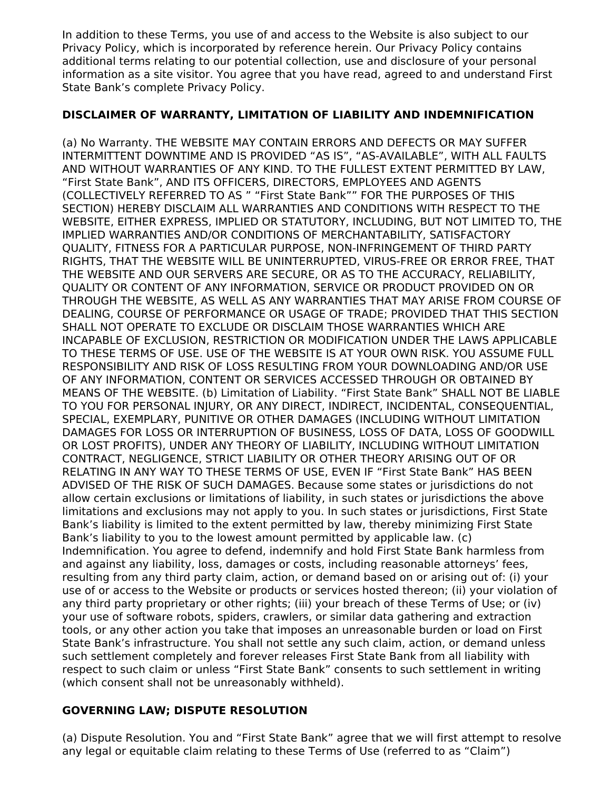In addition to these Terms, you use of and access to the Website is also subject to our Privacy Policy, which is incorporated by reference herein. Our Privacy Policy contains additional terms relating to our potential collection, use and disclosure of your personal information as a site visitor. You agree that you have read, agreed to and understand First State Bank's complete Privacy Policy.

### **DISCLAIMER OF WARRANTY, LIMITATION OF LIABILITY AND INDEMNIFICATION**

(a) No Warranty. THE WEBSITE MAY CONTAIN ERRORS AND DEFECTS OR MAY SUFFER INTERMITTENT DOWNTIME AND IS PROVIDED "AS IS", "AS-AVAILABLE", WITH ALL FAULTS AND WITHOUT WARRANTIES OF ANY KIND. TO THE FULLEST EXTENT PERMITTED BY LAW, "First State Bank", AND ITS OFFICERS, DIRECTORS, EMPLOYEES AND AGENTS (COLLECTIVELY REFERRED TO AS " "First State Bank"" FOR THE PURPOSES OF THIS SECTION) HEREBY DISCLAIM ALL WARRANTIES AND CONDITIONS WITH RESPECT TO THE WEBSITE, EITHER EXPRESS, IMPLIED OR STATUTORY, INCLUDING, BUT NOT LIMITED TO, THE IMPLIED WARRANTIES AND/OR CONDITIONS OF MERCHANTABILITY, SATISFACTORY QUALITY, FITNESS FOR A PARTICULAR PURPOSE, NON-INFRINGEMENT OF THIRD PARTY RIGHTS, THAT THE WEBSITE WILL BE UNINTERRUPTED, VIRUS-FREE OR ERROR FREE, THAT THE WEBSITE AND OUR SERVERS ARE SECURE, OR AS TO THE ACCURACY, RELIABILITY, QUALITY OR CONTENT OF ANY INFORMATION, SERVICE OR PRODUCT PROVIDED ON OR THROUGH THE WEBSITE, AS WELL AS ANY WARRANTIES THAT MAY ARISE FROM COURSE OF DEALING, COURSE OF PERFORMANCE OR USAGE OF TRADE; PROVIDED THAT THIS SECTION SHALL NOT OPERATE TO EXCLUDE OR DISCLAIM THOSE WARRANTIES WHICH ARE INCAPABLE OF EXCLUSION, RESTRICTION OR MODIFICATION UNDER THE LAWS APPLICABLE TO THESE TERMS OF USE. USE OF THE WEBSITE IS AT YOUR OWN RISK. YOU ASSUME FULL RESPONSIBILITY AND RISK OF LOSS RESULTING FROM YOUR DOWNLOADING AND/OR USE OF ANY INFORMATION, CONTENT OR SERVICES ACCESSED THROUGH OR OBTAINED BY MEANS OF THE WEBSITE. (b) Limitation of Liability. "First State Bank" SHALL NOT BE LIABLE TO YOU FOR PERSONAL INJURY, OR ANY DIRECT, INDIRECT, INCIDENTAL, CONSEQUENTIAL, SPECIAL, EXEMPLARY, PUNITIVE OR OTHER DAMAGES (INCLUDING WITHOUT LIMITATION DAMAGES FOR LOSS OR INTERRUPTION OF BUSINESS, LOSS OF DATA, LOSS OF GOODWILL OR LOST PROFITS), UNDER ANY THEORY OF LIABILITY, INCLUDING WITHOUT LIMITATION CONTRACT, NEGLIGENCE, STRICT LIABILITY OR OTHER THEORY ARISING OUT OF OR RELATING IN ANY WAY TO THESE TERMS OF USE, EVEN IF "First State Bank" HAS BEEN ADVISED OF THE RISK OF SUCH DAMAGES. Because some states or jurisdictions do not allow certain exclusions or limitations of liability, in such states or jurisdictions the above limitations and exclusions may not apply to you. In such states or jurisdictions, First State Bank's liability is limited to the extent permitted by law, thereby minimizing First State Bank's liability to you to the lowest amount permitted by applicable law. (c) Indemnification. You agree to defend, indemnify and hold First State Bank harmless from and against any liability, loss, damages or costs, including reasonable attorneys' fees, resulting from any third party claim, action, or demand based on or arising out of: (i) your use of or access to the Website or products or services hosted thereon; (ii) your violation of any third party proprietary or other rights; (iii) your breach of these Terms of Use; or (iv) your use of software robots, spiders, crawlers, or similar data gathering and extraction tools, or any other action you take that imposes an unreasonable burden or load on First State Bank's infrastructure. You shall not settle any such claim, action, or demand unless such settlement completely and forever releases First State Bank from all liability with respect to such claim or unless "First State Bank" consents to such settlement in writing (which consent shall not be unreasonably withheld).

## **GOVERNING LAW; DISPUTE RESOLUTION**

(a) Dispute Resolution. You and "First State Bank" agree that we will first attempt to resolve any legal or equitable claim relating to these Terms of Use (referred to as "Claim")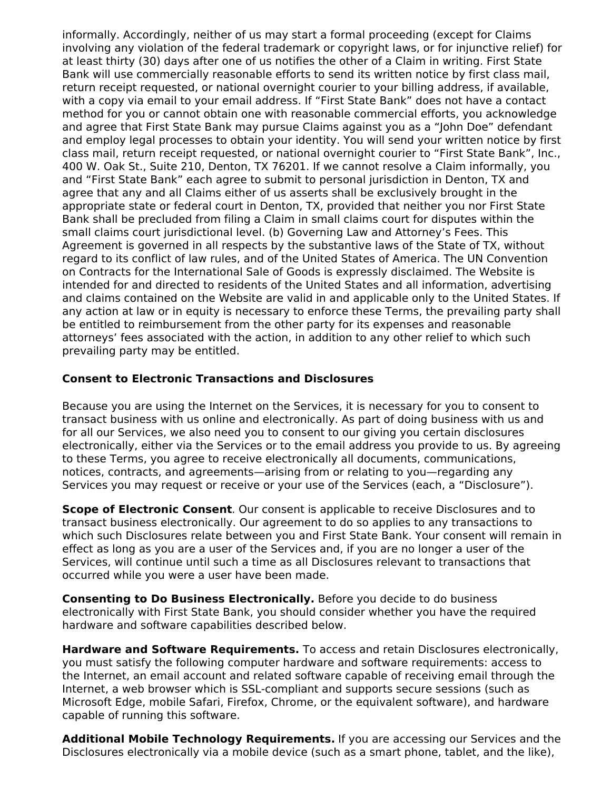informally. Accordingly, neither of us may start a formal proceeding (except for Claims involving any violation of the federal trademark or copyright laws, or for injunctive relief) for at least thirty (30) days after one of us notifies the other of a Claim in writing. First State Bank will use commercially reasonable efforts to send its written notice by first class mail, return receipt requested, or national overnight courier to your billing address, if available, with a copy via email to your email address. If "First State Bank" does not have a contact method for you or cannot obtain one with reasonable commercial efforts, you acknowledge and agree that First State Bank may pursue Claims against you as a "John Doe" defendant and employ legal processes to obtain your identity. You will send your written notice by first class mail, return receipt requested, or national overnight courier to "First State Bank", Inc., 400 W. Oak St., Suite 210, Denton, TX 76201. If we cannot resolve a Claim informally, you and "First State Bank" each agree to submit to personal jurisdiction in Denton, TX and agree that any and all Claims either of us asserts shall be exclusively brought in the appropriate state or federal court in Denton, TX, provided that neither you nor First State Bank shall be precluded from filing a Claim in small claims court for disputes within the small claims court jurisdictional level. (b) Governing Law and Attorney's Fees. This Agreement is governed in all respects by the substantive laws of the State of TX, without regard to its conflict of law rules, and of the United States of America. The UN Convention on Contracts for the International Sale of Goods is expressly disclaimed. The Website is intended for and directed to residents of the United States and all information, advertising and claims contained on the Website are valid in and applicable only to the United States. If any action at law or in equity is necessary to enforce these Terms, the prevailing party shall be entitled to reimbursement from the other party for its expenses and reasonable attorneys' fees associated with the action, in addition to any other relief to which such prevailing party may be entitled.

### **Consent to Electronic Transactions and Disclosures**

Because you are using the Internet on the Services, it is necessary for you to consent to transact business with us online and electronically. As part of doing business with us and for all our Services, we also need you to consent to our giving you certain disclosures electronically, either via the Services or to the email address you provide to us. By agreeing to these Terms, you agree to receive electronically all documents, communications, notices, contracts, and agreements—arising from or relating to you—regarding any Services you may request or receive or your use of the Services (each, a "Disclosure").

**Scope of Electronic Consent**. Our consent is applicable to receive Disclosures and to transact business electronically. Our agreement to do so applies to any transactions to which such Disclosures relate between you and First State Bank. Your consent will remain in effect as long as you are a user of the Services and, if you are no longer a user of the Services, will continue until such a time as all Disclosures relevant to transactions that occurred while you were a user have been made.

**Consenting to Do Business Electronically.** Before you decide to do business electronically with First State Bank, you should consider whether you have the required hardware and software capabilities described below.

**Hardware and Software Requirements.** To access and retain Disclosures electronically, you must satisfy the following computer hardware and software requirements: access to the Internet, an email account and related software capable of receiving email through the Internet, a web browser which is SSL-compliant and supports secure sessions (such as Microsoft Edge, mobile Safari, Firefox, Chrome, or the equivalent software), and hardware capable of running this software.

**Additional Mobile Technology Requirements.** If you are accessing our Services and the Disclosures electronically via a mobile device (such as a smart phone, tablet, and the like),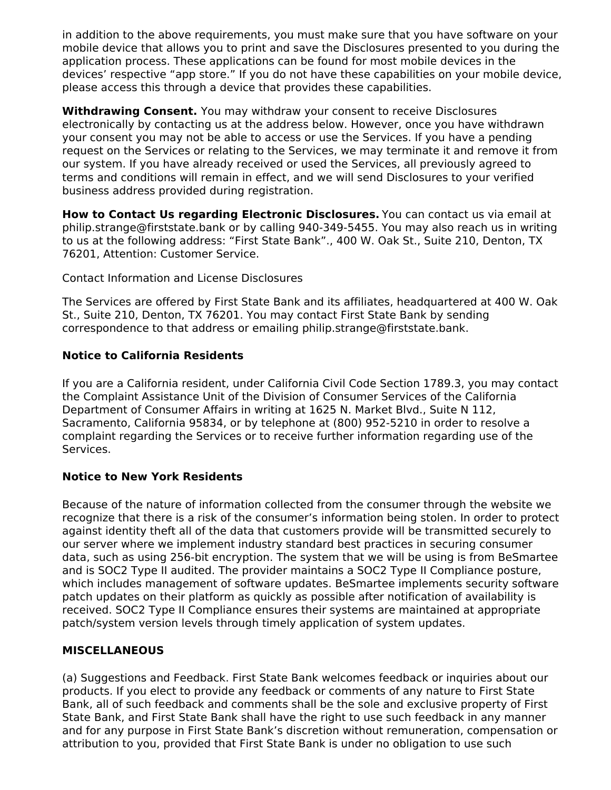in addition to the above requirements, you must make sure that you have software on your mobile device that allows you to print and save the Disclosures presented to you during the application process. These applications can be found for most mobile devices in the devices' respective "app store." If you do not have these capabilities on your mobile device, please access this through a device that provides these capabilities.

**Withdrawing Consent.** You may withdraw your consent to receive Disclosures electronically by contacting us at the address below. However, once you have withdrawn your consent you may not be able to access or use the Services. If you have a pending request on the Services or relating to the Services, we may terminate it and remove it from our system. If you have already received or used the Services, all previously agreed to terms and conditions will remain in effect, and we will send Disclosures to your verified business address provided during registration.

**How to Contact Us regarding Electronic Disclosures.** You can contact us via email at philip.strange@firststate.bank or by calling 940-349-5455. You may also reach us in writing to us at the following address: "First State Bank"., 400 W. Oak St., Suite 210, Denton, TX 76201, Attention: Customer Service.

Contact Information and License Disclosures

The Services are offered by First State Bank and its affiliates, headquartered at 400 W. Oak St., Suite 210, Denton, TX 76201. You may contact First State Bank by sending correspondence to that address or emailing philip.strange@firststate.bank.

### **Notice to California Residents**

If you are a California resident, under California Civil Code Section 1789.3, you may contact the Complaint Assistance Unit of the Division of Consumer Services of the California Department of Consumer Affairs in writing at 1625 N. Market Blvd., Suite N 112, Sacramento, California 95834, or by telephone at (800) 952-5210 in order to resolve a complaint regarding the Services or to receive further information regarding use of the Services.

## **Notice to New York Residents**

Because of the nature of information collected from the consumer through the website we recognize that there is a risk of the consumer's information being stolen. In order to protect against identity theft all of the data that customers provide will be transmitted securely to our server where we implement industry standard best practices in securing consumer data, such as using 256-bit encryption. The system that we will be using is from BeSmartee and is SOC2 Type II audited. The provider maintains a SOC2 Type II Compliance posture, which includes management of software updates. BeSmartee implements security software patch updates on their platform as quickly as possible after notification of availability is received. SOC2 Type II Compliance ensures their systems are maintained at appropriate patch/system version levels through timely application of system updates.

## **MISCELLANEOUS**

(a) Suggestions and Feedback. First State Bank welcomes feedback or inquiries about our products. If you elect to provide any feedback or comments of any nature to First State Bank, all of such feedback and comments shall be the sole and exclusive property of First State Bank, and First State Bank shall have the right to use such feedback in any manner and for any purpose in First State Bank's discretion without remuneration, compensation or attribution to you, provided that First State Bank is under no obligation to use such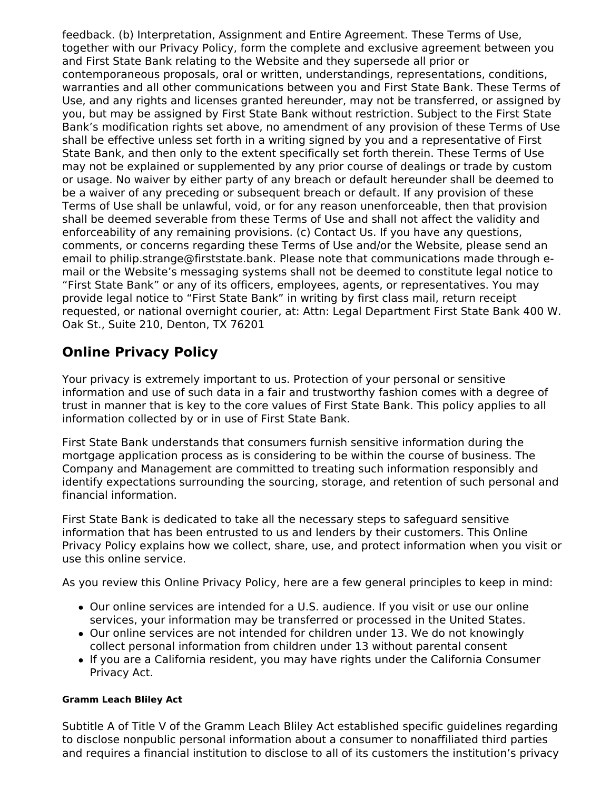feedback. (b) Interpretation, Assignment and Entire Agreement. These Terms of Use, together with our Privacy Policy, form the complete and exclusive agreement between you and First State Bank relating to the Website and they supersede all prior or contemporaneous proposals, oral or written, understandings, representations, conditions, warranties and all other communications between you and First State Bank. These Terms of Use, and any rights and licenses granted hereunder, may not be transferred, or assigned by you, but may be assigned by First State Bank without restriction. Subject to the First State Bank's modification rights set above, no amendment of any provision of these Terms of Use shall be effective unless set forth in a writing signed by you and a representative of First State Bank, and then only to the extent specifically set forth therein. These Terms of Use may not be explained or supplemented by any prior course of dealings or trade by custom or usage. No waiver by either party of any breach or default hereunder shall be deemed to be a waiver of any preceding or subsequent breach or default. If any provision of these Terms of Use shall be unlawful, void, or for any reason unenforceable, then that provision shall be deemed severable from these Terms of Use and shall not affect the validity and enforceability of any remaining provisions. (c) Contact Us. If you have any questions, comments, or concerns regarding these Terms of Use and/or the Website, please send an email to philip.strange@firststate.bank. Please note that communications made through email or the Website's messaging systems shall not be deemed to constitute legal notice to "First State Bank" or any of its officers, employees, agents, or representatives. You may provide legal notice to "First State Bank" in writing by first class mail, return receipt requested, or national overnight courier, at: Attn: Legal Department First State Bank 400 W. Oak St., Suite 210, Denton, TX 76201

# **Online Privacy Policy**

Your privacy is extremely important to us. Protection of your personal or sensitive information and use of such data in a fair and trustworthy fashion comes with a degree of trust in manner that is key to the core values of First State Bank. This policy applies to all information collected by or in use of First State Bank.

First State Bank understands that consumers furnish sensitive information during the mortgage application process as is considering to be within the course of business. The Company and Management are committed to treating such information responsibly and identify expectations surrounding the sourcing, storage, and retention of such personal and financial information.

First State Bank is dedicated to take all the necessary steps to safeguard sensitive information that has been entrusted to us and lenders by their customers. This Online Privacy Policy explains how we collect, share, use, and protect information when you visit or use this online service.

As you review this Online Privacy Policy, here are a few general principles to keep in mind:

- Our online services are intended for a U.S. audience. If you visit or use our online services, your information may be transferred or processed in the United States.
- Our online services are not intended for children under 13. We do not knowingly collect personal information from children under 13 without parental consent
- If you are a California resident, you may have rights under the California Consumer Privacy Act.

## **Gramm Leach Bliley Act**

Subtitle A of Title V of the Gramm Leach Bliley Act established specific guidelines regarding to disclose nonpublic personal information about a consumer to nonaffiliated third parties and requires a financial institution to disclose to all of its customers the institution's privacy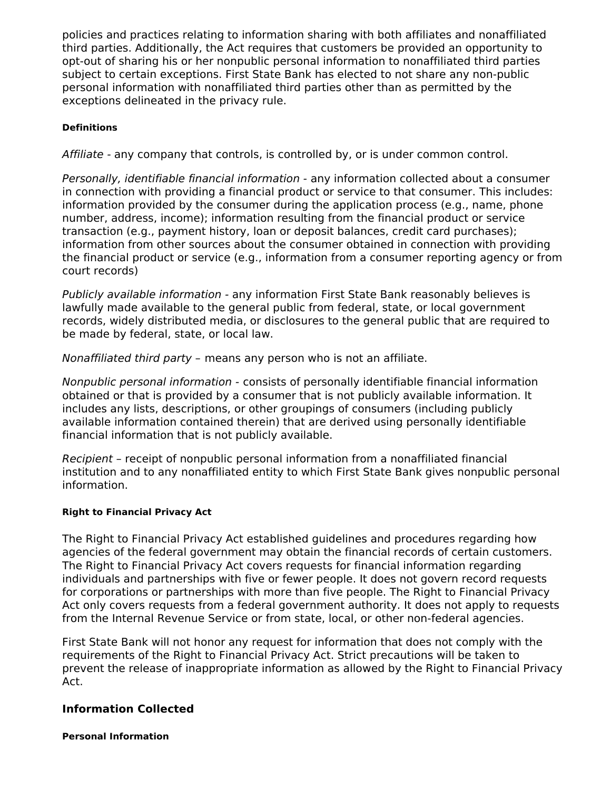policies and practices relating to information sharing with both affiliates and nonaffiliated third parties. Additionally, the Act requires that customers be provided an opportunity to opt-out of sharing his or her nonpublic personal information to nonaffiliated third parties subject to certain exceptions. First State Bank has elected to not share any non-public personal information with nonaffiliated third parties other than as permitted by the exceptions delineated in the privacy rule.

### **Definitions**

Affiliate - any company that controls, is controlled by, or is under common control.

Personally, identifiable financial information - any information collected about a consumer in connection with providing a financial product or service to that consumer. This includes: information provided by the consumer during the application process (e.g., name, phone number, address, income); information resulting from the financial product or service transaction (e.g., payment history, loan or deposit balances, credit card purchases); information from other sources about the consumer obtained in connection with providing the financial product or service (e.g., information from a consumer reporting agency or from court records)

Publicly available information - any information First State Bank reasonably believes is lawfully made available to the general public from federal, state, or local government records, widely distributed media, or disclosures to the general public that are required to be made by federal, state, or local law.

Nonaffiliated third party – means any person who is not an affiliate.

Nonpublic personal information - consists of personally identifiable financial information obtained or that is provided by a consumer that is not publicly available information. It includes any lists, descriptions, or other groupings of consumers (including publicly available information contained therein) that are derived using personally identifiable financial information that is not publicly available.

Recipient – receipt of nonpublic personal information from a nonaffiliated financial institution and to any nonaffiliated entity to which First State Bank gives nonpublic personal information.

### **Right to Financial Privacy Act**

The Right to Financial Privacy Act established guidelines and procedures regarding how agencies of the federal government may obtain the financial records of certain customers. The Right to Financial Privacy Act covers requests for financial information regarding individuals and partnerships with five or fewer people. It does not govern record requests for corporations or partnerships with more than five people. The Right to Financial Privacy Act only covers requests from a federal government authority. It does not apply to requests from the Internal Revenue Service or from state, local, or other non-federal agencies.

First State Bank will not honor any request for information that does not comply with the requirements of the Right to Financial Privacy Act. Strict precautions will be taken to prevent the release of inappropriate information as allowed by the Right to Financial Privacy Act.

### **Information Collected**

**Personal Information**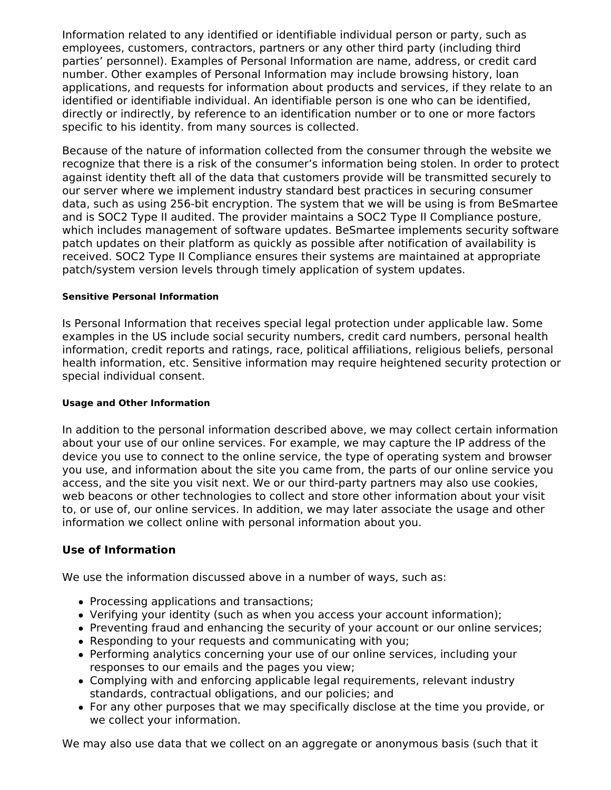Information related to any identified or identifiable individual person or party, such as employees, customers, contractors, partners or any other third party (including third parties' personnel). Examples of Personal Information are name, address, or credit card number. Other examples of Personal Information may include browsing history, loan applications, and requests for information about products and services, if they relate to an identified or identifiable individual. An identifiable person is one who can be identified, directly or indirectly, by reference to an identification number or to one or more factors specific to his identity. from many sources is collected.

Because of the nature of information collected from the consumer through the website we recognize that there is a risk of the consumer's information being stolen. In order to protect against identity theft all of the data that customers provide will be transmitted securely to our server where we implement industry standard best practices in securing consumer data, such as using 256-bit encryption. The system that we will be using is from BeSmartee and is SOC2 Type II audited. The provider maintains a SOC2 Type II Compliance posture, which includes management of software updates. BeSmartee implements security software patch updates on their platform as quickly as possible after notification of availability is received. SOC2 Type II Compliance ensures their systems are maintained at appropriate patch/system version levels through timely application of system updates.

### **Sensitive Personal Information**

Is Personal Information that receives special legal protection under applicable law. Some examples in the US include social security numbers, credit card numbers, personal health information, credit reports and ratings, race, political affiliations, religious beliefs, personal health information, etc. Sensitive information may require heightened security protection or special individual consent.

### **Usage and Other Information**

In addition to the personal information described above, we may collect certain information about your use of our online services. For example, we may capture the IP address of the device you use to connect to the online service, the type of operating system and browser you use, and information about the site you came from, the parts of our online service you access, and the site you visit next. We or our third-party partners may also use cookies, web beacons or other technologies to collect and store other information about your visit to, or use of, our online services. In addition, we may later associate the usage and other information we collect online with personal information about you.

### **Use of Information**

We use the information discussed above in a number of ways, such as:

- Processing applications and transactions;
- Verifying your identity (such as when you access your account information);
- Preventing fraud and enhancing the security of your account or our online services;
- Responding to your requests and communicating with you;
- Performing analytics concerning your use of our online services, including your responses to our emails and the pages you view;
- Complying with and enforcing applicable legal requirements, relevant industry standards, contractual obligations, and our policies; and
- For any other purposes that we may specifically disclose at the time you provide, or we collect your information.

We may also use data that we collect on an aggregate or anonymous basis (such that it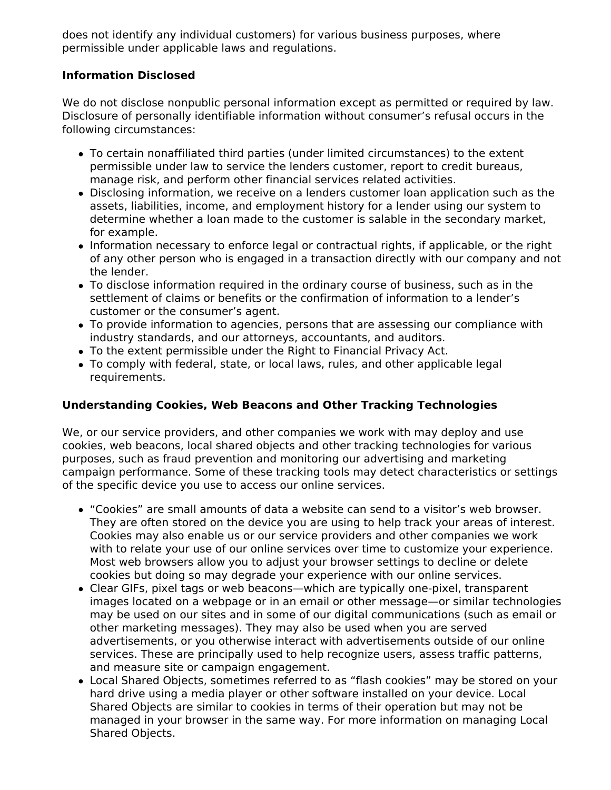does not identify any individual customers) for various business purposes, where permissible under applicable laws and regulations.

## **Information Disclosed**

We do not disclose nonpublic personal information except as permitted or required by law. Disclosure of personally identifiable information without consumer's refusal occurs in the following circumstances:

- To certain nonaffiliated third parties (under limited circumstances) to the extent permissible under law to service the lenders customer, report to credit bureaus, manage risk, and perform other financial services related activities.
- Disclosing information, we receive on a lenders customer loan application such as the assets, liabilities, income, and employment history for a lender using our system to determine whether a loan made to the customer is salable in the secondary market, for example.
- Information necessary to enforce legal or contractual rights, if applicable, or the right of any other person who is engaged in a transaction directly with our company and not the lender.
- To disclose information required in the ordinary course of business, such as in the settlement of claims or benefits or the confirmation of information to a lender's customer or the consumer's agent.
- To provide information to agencies, persons that are assessing our compliance with industry standards, and our attorneys, accountants, and auditors.
- To the extent permissible under the Right to Financial Privacy Act.
- To comply with federal, state, or local laws, rules, and other applicable legal requirements.

## **Understanding Cookies, Web Beacons and Other Tracking Technologies**

We, or our service providers, and other companies we work with may deploy and use cookies, web beacons, local shared objects and other tracking technologies for various purposes, such as fraud prevention and monitoring our advertising and marketing campaign performance. Some of these tracking tools may detect characteristics or settings of the specific device you use to access our online services.

- "Cookies" are small amounts of data a website can send to a visitor's web browser. They are often stored on the device you are using to help track your areas of interest. Cookies may also enable us or our service providers and other companies we work with to relate your use of our online services over time to customize your experience. Most web browsers allow you to adjust your browser settings to decline or delete cookies but doing so may degrade your experience with our online services.
- Clear GIFs, pixel tags or web beacons—which are typically one-pixel, transparent images located on a webpage or in an email or other message—or similar technologies may be used on our sites and in some of our digital communications (such as email or other marketing messages). They may also be used when you are served advertisements, or you otherwise interact with advertisements outside of our online services. These are principally used to help recognize users, assess traffic patterns, and measure site or campaign engagement.
- Local Shared Objects, sometimes referred to as "flash cookies" may be stored on your hard drive using a media player or other software installed on your device. Local Shared Objects are similar to cookies in terms of their operation but may not be managed in your browser in the same way. For more information on managing Local Shared Objects.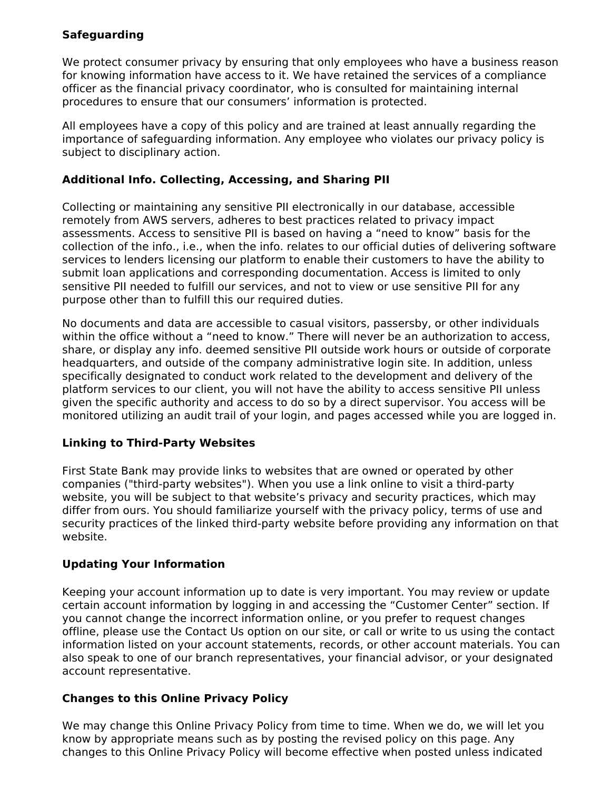## **Safeguarding**

We protect consumer privacy by ensuring that only employees who have a business reason for knowing information have access to it. We have retained the services of a compliance officer as the financial privacy coordinator, who is consulted for maintaining internal procedures to ensure that our consumers' information is protected.

All employees have a copy of this policy and are trained at least annually regarding the importance of safeguarding information. Any employee who violates our privacy policy is subject to disciplinary action.

### **Additional Info. Collecting, Accessing, and Sharing PII**

Collecting or maintaining any sensitive PII electronically in our database, accessible remotely from AWS servers, adheres to best practices related to privacy impact assessments. Access to sensitive PII is based on having a "need to know" basis for the collection of the info., i.e., when the info. relates to our official duties of delivering software services to lenders licensing our platform to enable their customers to have the ability to submit loan applications and corresponding documentation. Access is limited to only sensitive PII needed to fulfill our services, and not to view or use sensitive PII for any purpose other than to fulfill this our required duties.

No documents and data are accessible to casual visitors, passersby, or other individuals within the office without a "need to know." There will never be an authorization to access, share, or display any info. deemed sensitive PII outside work hours or outside of corporate headquarters, and outside of the company administrative login site. In addition, unless specifically designated to conduct work related to the development and delivery of the platform services to our client, you will not have the ability to access sensitive PII unless given the specific authority and access to do so by a direct supervisor. You access will be monitored utilizing an audit trail of your login, and pages accessed while you are logged in.

## **Linking to Third-Party Websites**

First State Bank may provide links to websites that are owned or operated by other companies ("third-party websites"). When you use a link online to visit a third-party website, you will be subject to that website's privacy and security practices, which may differ from ours. You should familiarize yourself with the privacy policy, terms of use and security practices of the linked third-party website before providing any information on that website.

## **Updating Your Information**

Keeping your account information up to date is very important. You may review or update certain account information by logging in and accessing the "Customer Center" section. If you cannot change the incorrect information online, or you prefer to request changes offline, please use the Contact Us option on our site, or call or write to us using the contact information listed on your account statements, records, or other account materials. You can also speak to one of our branch representatives, your financial advisor, or your designated account representative.

## **Changes to this Online Privacy Policy**

We may change this Online Privacy Policy from time to time. When we do, we will let you know by appropriate means such as by posting the revised policy on this page. Any changes to this Online Privacy Policy will become effective when posted unless indicated